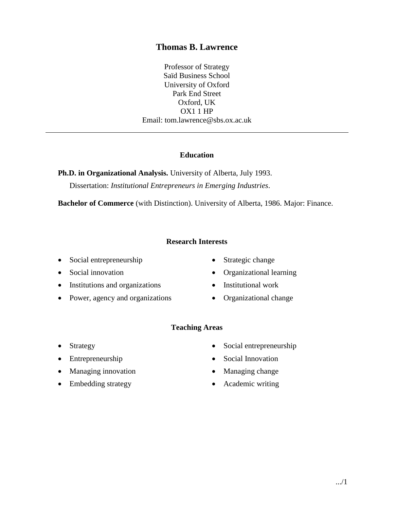# **Thomas B. Lawrence**

Professor of Strategy Saïd Business School University of Oxford Park End Street Oxford, UK OX1 1 HP Email: tom.lawrence@sbs.ox.ac.uk

#### **Education**

**Ph.D. in Organizational Analysis.** University of Alberta, July 1993. Dissertation: *Institutional Entrepreneurs in Emerging Industries*.

**Bachelor of Commerce** (with Distinction). University of Alberta, 1986. Major: Finance.

#### **Research Interests**

- Social entrepreneurship
- Social innovation
- Institutions and organizations
- Power, agency and organizations
- Strategic change
- Organizational learning
- Institutional work
- Organizational change

#### **Teaching Areas**

- Strategy
- Entrepreneurship
- Managing innovation
- Embedding strategy
- Social entrepreneurship
- Social Innovation
- Managing change
- Academic writing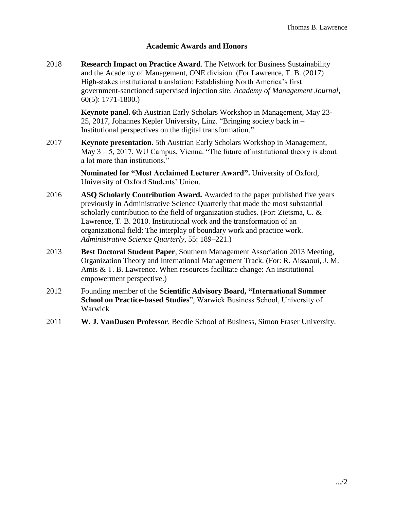## **Academic Awards and Honors**

2018 **Research Impact on Practice Award**. The Network for Business Sustainability and the Academy of Management, ONE division. (For Lawrence, T. B. (2017) High-stakes institutional translation: Establishing North America's first government-sanctioned supervised injection site. *Academy of Management Journal*, 60(5): 1771-1800.)

> **Keynote panel. 6**th Austrian Early Scholars Workshop in Management, May 23- 25, 2017, Johannes Kepler University, Linz. "Bringing society back in – Institutional perspectives on the digital transformation."

2017 **Keynote presentation.** 5th Austrian Early Scholars Workshop in Management, May 3 – 5, 2017, WU Campus, Vienna. "The future of institutional theory is about a lot more than institutions."

> **Nominated for "Most Acclaimed Lecturer Award".** University of Oxford, University of Oxford Students' Union.

- 2016 **ASQ Scholarly Contribution Award.** Awarded to the paper published five years previously in Administrative Science Quarterly that made the most substantial scholarly contribution to the field of organization studies. (For: Zietsma, C. & Lawrence, T. B. 2010. Institutional work and the transformation of an organizational field: The interplay of boundary work and practice work. *Administrative Science Quarterly*, 55: 189–221.)
- 2013 **Best Doctoral Student Paper**, Southern Management Association 2013 Meeting, Organization Theory and International Management Track. (For: R. Aissaoui, J. M. Amis & T. B. Lawrence. When resources facilitate change: An institutional empowerment perspective.)
- 2012 Founding member of the **Scientific Advisory Board, "International Summer School on Practice-based Studies**", Warwick Business School, University of Warwick
- 2011 **W. J. VanDusen Professor**, Beedie School of Business, Simon Fraser University.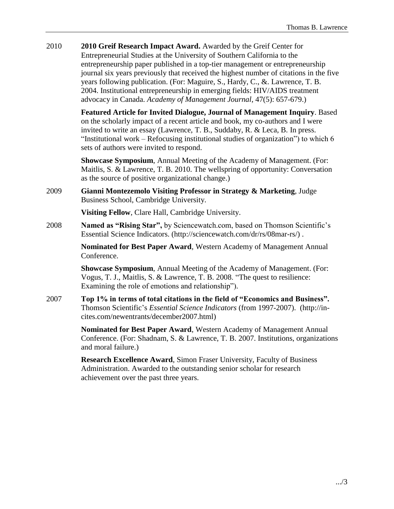2010 **2010 Greif Research Impact Award.** Awarded by the Greif Center for Entrepreneurial Studies at the University of Southern California to the entrepreneurship paper published in a top-tier management or entrepreneurship journal six years previously that received the highest number of citations in the five years following publication. (For: Maguire, S., Hardy, C., &. Lawrence, T. B. 2004. Institutional entrepreneurship in emerging fields: HIV/AIDS treatment advocacy in Canada. *Academy of Management Journal*, 47(5): 657-679.)

> **Featured Article for Invited Dialogue, Journal of Management Inquiry**. Based on the scholarly impact of a recent article and book, my co-authors and I were invited to write an essay (Lawrence, T. B., Suddaby, R. & Leca, B. In press. "Institutional work – Refocusing institutional studies of organization") to which 6 sets of authors were invited to respond.

**Showcase Symposium**, Annual Meeting of the Academy of Management. (For: Maitlis, S. & Lawrence, T. B. 2010. The wellspring of opportunity: Conversation as the source of positive organizational change.)

2009 **Gianni Montezemolo Visiting Professor in Strategy & Marketing**, Judge Business School, Cambridge University.

**Visiting Fellow**, Clare Hall, Cambridge University.

2008 **Named as "Rising Star",** by Sciencewatch.com, based on Thomson Scientific's Essential Science Indicators. (http://sciencewatch.com/dr/rs/08mar-rs/) .

> **Nominated for Best Paper Award**, Western Academy of Management Annual Conference.

> **Showcase Symposium**, Annual Meeting of the Academy of Management. (For: Vogus, T. J., Maitlis, S. & Lawrence, T. B. 2008. "The quest to resilience: Examining the role of emotions and relationship").

2007 **Top 1% in terms of total citations in the field of "Economics and Business".**  Thomson Scientific's *Essential Science Indicators* (from 1997-2007). (http://incites.com/newentrants/december2007.html)

> **Nominated for Best Paper Award**, Western Academy of Management Annual Conference. (For: Shadnam, S. & Lawrence, T. B. 2007. Institutions, organizations and moral failure.)

**Research Excellence Award**, Simon Fraser University, Faculty of Business Administration. Awarded to the outstanding senior scholar for research achievement over the past three years.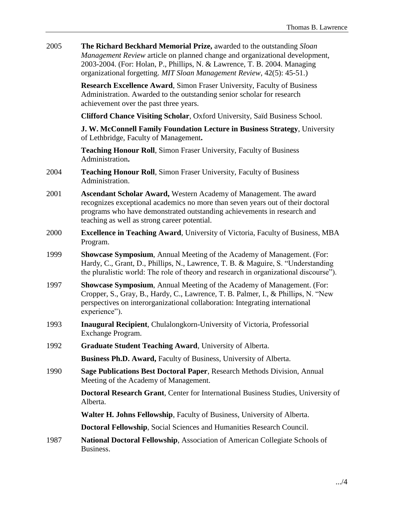2005 **The Richard Beckhard Memorial Prize,** awarded to the outstanding *Sloan Management Review* article on planned change and organizational development, 2003-2004. (For: Holan, P., Phillips, N. & Lawrence, T. B. 2004. Managing organizational forgetting. *MIT Sloan Management Review*, 42(5): 45-51.)

> **Research Excellence Award**, Simon Fraser University, Faculty of Business Administration. Awarded to the outstanding senior scholar for research achievement over the past three years.

**Clifford Chance Visiting Scholar**, Oxford University, Saïd Business School.

**J. W. McConnell Family Foundation Lecture in Business Strategy**, University of Lethbridge, Faculty of Management**.**

**Teaching Honour Roll**, Simon Fraser University, Faculty of Business Administration**.**

- 2004 **Teaching Honour Roll**, Simon Fraser University, Faculty of Business Administration.
- 2001 **Ascendant Scholar Award,** Western Academy of Management. The award recognizes exceptional academics no more than seven years out of their doctoral programs who have demonstrated outstanding achievements in research and teaching as well as strong career potential.
- 2000 **Excellence in Teaching Award**, University of Victoria, Faculty of Business, MBA Program.
- 1999 **Showcase Symposium**, Annual Meeting of the Academy of Management. (For: Hardy, C., Grant, D., Phillips, N., Lawrence, T. B. & Maguire, S. "Understanding the pluralistic world: The role of theory and research in organizational discourse").
- 1997 **Showcase Symposium**, Annual Meeting of the Academy of Management. (For: Cropper, S., Gray, B., Hardy, C., Lawrence, T. B. Palmer, I., & Phillips, N. "New perspectives on interorganizational collaboration: Integrating international experience").
- 1993 **Inaugural Recipient**, Chulalongkorn-University of Victoria, Professorial Exchange Program.
- 1992 **Graduate Student Teaching Award**, University of Alberta.

**Business Ph.D. Award,** Faculty of Business, University of Alberta.

1990 **Sage Publications Best Doctoral Paper**, Research Methods Division, Annual Meeting of the Academy of Management.

> **Doctoral Research Grant**, Center for International Business Studies, University of Alberta.

**Walter H. Johns Fellowship**, Faculty of Business, University of Alberta.

**Doctoral Fellowship**, Social Sciences and Humanities Research Council.

1987 **National Doctoral Fellowship**, Association of American Collegiate Schools of Business.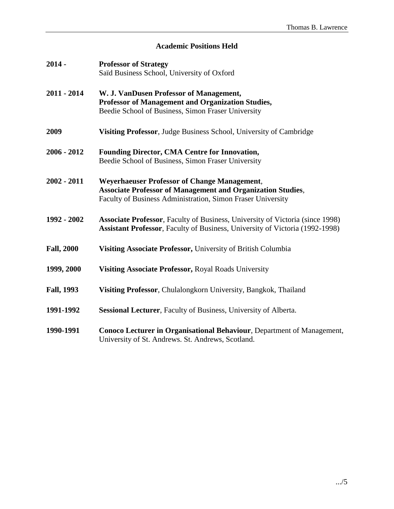# **Academic Positions Held**

| $2014 -$          | <b>Professor of Strategy</b><br>Saïd Business School, University of Oxford                                                                                                               |  |
|-------------------|------------------------------------------------------------------------------------------------------------------------------------------------------------------------------------------|--|
| $2011 - 2014$     | W. J. VanDusen Professor of Management,<br>Professor of Management and Organization Studies,<br>Beedie School of Business, Simon Fraser University                                       |  |
| 2009              | Visiting Professor, Judge Business School, University of Cambridge                                                                                                                       |  |
| $2006 - 2012$     | <b>Founding Director, CMA Centre for Innovation,</b><br>Beedie School of Business, Simon Fraser University                                                                               |  |
| $2002 - 2011$     | <b>Weyerhaeuser Professor of Change Management,</b><br><b>Associate Professor of Management and Organization Studies,</b><br>Faculty of Business Administration, Simon Fraser University |  |
| 1992 - 2002       | <b>Associate Professor</b> , Faculty of Business, University of Victoria (since 1998)<br><b>Assistant Professor</b> , Faculty of Business, University of Victoria (1992-1998)            |  |
| <b>Fall, 2000</b> | Visiting Associate Professor, University of British Columbia                                                                                                                             |  |
| 1999, 2000        | Visiting Associate Professor, Royal Roads University                                                                                                                                     |  |
| <b>Fall, 1993</b> | Visiting Professor, Chulalongkorn University, Bangkok, Thailand                                                                                                                          |  |
| 1991-1992         | Sessional Lecturer, Faculty of Business, University of Alberta.                                                                                                                          |  |
| 1990-1991         | Conoco Lecturer in Organisational Behaviour, Department of Management,<br>University of St. Andrews. St. Andrews, Scotland.                                                              |  |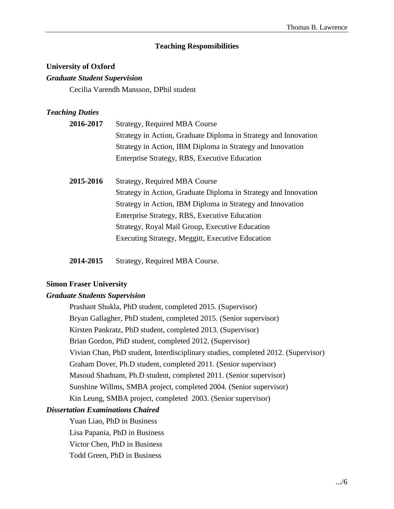#### **Teaching Responsibilities**

# **University of Oxford**

# *Graduate Student Supervision*

Cecilia Varendh Mansson, DPhil student

#### *Teaching Duties*

| 2016-2017                                                       | <b>Strategy, Required MBA Course</b>                            |  |  |
|-----------------------------------------------------------------|-----------------------------------------------------------------|--|--|
|                                                                 | Strategy in Action, Graduate Diploma in Strategy and Innovation |  |  |
|                                                                 | Strategy in Action, IBM Diploma in Strategy and Innovation      |  |  |
|                                                                 | Enterprise Strategy, RBS, Executive Education                   |  |  |
|                                                                 |                                                                 |  |  |
| 2015-2016                                                       | <b>Strategy, Required MBA Course</b>                            |  |  |
| Strategy in Action, Graduate Diploma in Strategy and Innovation |                                                                 |  |  |
|                                                                 | Strategy in Action, IBM Diploma in Strategy and Innovation      |  |  |
|                                                                 | Enterprise Strategy, RBS, Executive Education                   |  |  |
|                                                                 | Strategy, Royal Mail Group, Executive Education                 |  |  |

Executing Strategy, Meggitt, Executive Education

**2014-2015** Strategy, Required MBA Course.

#### **Simon Fraser University**

### *Graduate Students Supervision*

Prashant Shukla, PhD student, completed 2015. (Supervisor) Bryan Gallagher, PhD student, completed 2015. (Senior supervisor) Kirsten Pankratz, PhD student, completed 2013. (Supervisor) Brian Gordon, PhD student, completed 2012. (Supervisor) Vivian Chan, PhD student, Interdisciplinary studies, completed 2012. (Supervisor) Graham Dover, Ph.D student, completed 2011. (Senior supervisor) Masoud Shadnam, Ph.D student, completed 2011. (Senior supervisor) Sunshine Willms, SMBA project, completed 2004. (Senior supervisor) Kin Leung, SMBA project, completed 2003. (Senior supervisor)

# *Dissertation Examinations Chaired*

Yuan Liao, PhD in Business Lisa Papania, PhD in Business Victor Chen, PhD in Business Todd Green, PhD in Business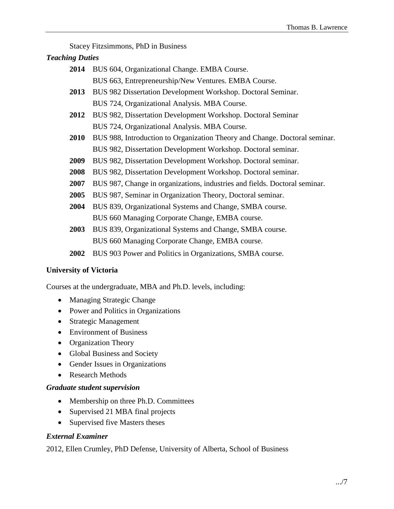Stacey Fitzsimmons, PhD in Business

# *Teaching Duties*

- **2014** BUS 604, Organizational Change. EMBA Course. BUS 663, Entrepreneurship/New Ventures. EMBA Course. **2013** BUS 982 Dissertation Development Workshop. Doctoral Seminar. BUS 724, Organizational Analysis. MBA Course. **2012** BUS 982, Dissertation Development Workshop. Doctoral Seminar BUS 724, Organizational Analysis. MBA Course. **2010** BUS 988, Introduction to Organization Theory and Change. Doctoral seminar. BUS 982, Dissertation Development Workshop. Doctoral seminar. **2009** BUS 982, Dissertation Development Workshop. Doctoral seminar. **2008** BUS 982, Dissertation Development Workshop. Doctoral seminar.
- **2007** BUS 987, Change in organizations, industries and fields. Doctoral seminar.
- **2005** BUS 987, Seminar in Organization Theory, Doctoral seminar.
- **2004** BUS 839, Organizational Systems and Change, SMBA course. BUS 660 Managing Corporate Change, EMBA course.
- **2003** BUS 839, Organizational Systems and Change, SMBA course. BUS 660 Managing Corporate Change, EMBA course.
- **2002** BUS 903 Power and Politics in Organizations, SMBA course.

# **University of Victoria**

Courses at the undergraduate, MBA and Ph.D. levels, including:

- Managing Strategic Change
- Power and Politics in Organizations
- Strategic Management
- Environment of Business
- Organization Theory
- Global Business and Society
- Gender Issues in Organizations
- Research Methods

# *Graduate student supervision*

- Membership on three Ph.D. Committees
- Supervised 21 MBA final projects
- Supervised five Masters theses

# *External Examiner*

2012, Ellen Crumley, PhD Defense, University of Alberta, School of Business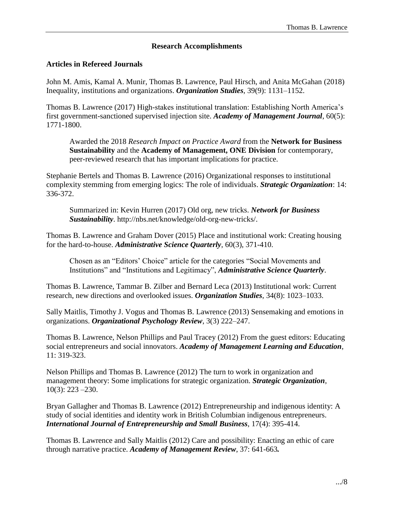#### **Research Accomplishments**

#### **Articles in Refereed Journals**

John M. Amis, Kamal A. Munir, Thomas B. Lawrence, Paul Hirsch, and Anita McGahan (2018) Inequality, institutions and organizations. *Organization Studies*, 39(9): 1131–1152.

Thomas B. Lawrence (2017) High-stakes institutional translation: Establishing North America's first government-sanctioned supervised injection site. *Academy of Management Journal*, 60(5): 1771-1800.

Awarded the 2018 *Research Impact on Practice Award* from the **Network for Business Sustainability** and the **Academy of Management, ONE Division** for contemporary, peer-reviewed research that has important implications for practice.

Stephanie Bertels and Thomas B. Lawrence (2016) Organizational responses to institutional complexity stemming from emerging logics: The role of individuals. *Strategic Organization*: 14: 336-372.

Summarized in: Kevin Hurren (2017) Old org, new tricks. *Network for Business Sustainability*. http://nbs.net/knowledge/old-org-new-tricks/.

Thomas B. Lawrence and Graham Dover (2015) Place and institutional work: Creating housing for the hard-to-house. *Administrative Science Quarterly*, 60(3), 371-410.

Chosen as an "Editors' Choice" article for the categories "Social Movements and Institutions" and "Institutions and Legitimacy", *Administrative Science Quarterly*.

Thomas B. Lawrence, Tammar B. Zilber and Bernard Leca (2013) Institutional work: Current research, new directions and overlooked issues. *Organization Studies*, 34(8): 1023–1033.

Sally Maitlis, Timothy J. Vogus and Thomas B. Lawrence (2013) Sensemaking and emotions in organizations. *Organizational Psychology Review*, 3(3) 222–247.

Thomas B. Lawrence, Nelson Phillips and Paul Tracey (2012) From the guest editors: Educating social entrepreneurs and social innovators. *Academy of Management Learning and Education*, 11: 319-323.

Nelson Phillips and Thomas B. Lawrence (2012) The turn to work in organization and management theory: Some implications for strategic organization. *Strategic Organization*, 10(3): 223 –230.

Bryan Gallagher and Thomas B. Lawrence (2012) Entrepreneurship and indigenous identity: A study of social identities and identity work in British Columbian indigenous entrepreneurs. *International Journal of Entrepreneurship and Small Business*, 17(4): 395-414.

Thomas B. Lawrence and Sally Maitlis (2012) Care and possibility: Enacting an ethic of care through narrative practice. *Academy of Management Review*, 37: 641-663*.*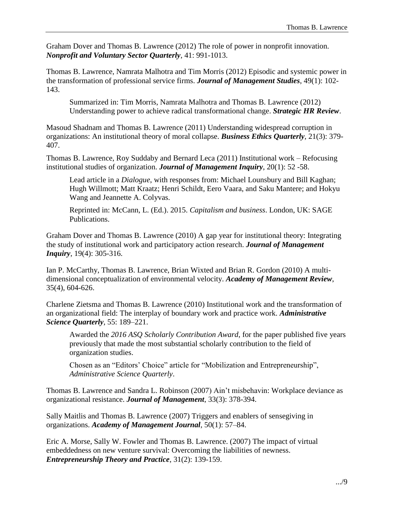Graham Dover and Thomas B. Lawrence (2012) The role of power in nonprofit innovation. *Nonprofit and Voluntary Sector Quarterly*, 41: 991-1013.

Thomas B. Lawrence, Namrata Malhotra and Tim Morris (2012) Episodic and systemic power in the transformation of professional service firms. *Journal of Management Studies*, 49(1): 102- 143.

Summarized in: Tim Morris, Namrata Malhotra and Thomas B. Lawrence (2012) Understanding power to achieve radical transformational change. *Strategic HR Review*.

Masoud Shadnam and Thomas B. Lawrence (2011) Understanding widespread corruption in organizations: An institutional theory of moral collapse. *Business Ethics Quarterly*, 21(3): 379- 407.

Thomas B. Lawrence, Roy Suddaby and Bernard Leca (2011) Institutional work – Refocusing institutional studies of organization. *Journal of Management Inquiry*, 20(1): 52 -58.

Lead article in a *Dialogue*, with responses from: Michael Lounsbury and Bill Kaghan; Hugh Willmott; Matt Kraatz; Henri Schildt, Eero Vaara, and Saku Mantere; and Hokyu Wang and Jeannette A. Colyvas.

Reprinted in: McCann, L. (Ed.). 2015. *Capitalism and business*. London, UK: SAGE Publications.

Graham Dover and Thomas B. Lawrence (2010) A gap year for institutional theory: Integrating the study of institutional work and participatory action research. *Journal of Management Inquiry*, 19(4): 305-316.

Ian P. McCarthy, Thomas B. Lawrence, Brian Wixted and Brian R. Gordon (2010) A multidimensional conceptualization of environmental velocity. *Academy of Management Review*, 35(4), 604-626.

Charlene Zietsma and Thomas B. Lawrence (2010) Institutional work and the transformation of an organizational field: The interplay of boundary work and practice work. *Administrative Science Quarterly*, 55: 189–221.

Awarded the *2016 ASQ Scholarly Contribution Award*, for the paper published five years previously that made the most substantial scholarly contribution to the field of organization studies.

Chosen as an "Editors' Choice" article for "Mobilization and Entrepreneurship", *Administrative Science Quarterly*.

Thomas B. Lawrence and Sandra L. Robinson (2007) Ain't misbehavin: Workplace deviance as organizational resistance. *Journal of Management*, 33(3): 378-394.

Sally Maitlis and Thomas B. Lawrence (2007) Triggers and enablers of sensegiving in organizations. *Academy of Management Journal*, 50(1): 57–84.

Eric A. Morse, Sally W. Fowler and Thomas B. Lawrence. (2007) The impact of virtual embeddedness on new venture survival: Overcoming the liabilities of newness. *Entrepreneurship Theory and Practice*, 31(2): 139-159.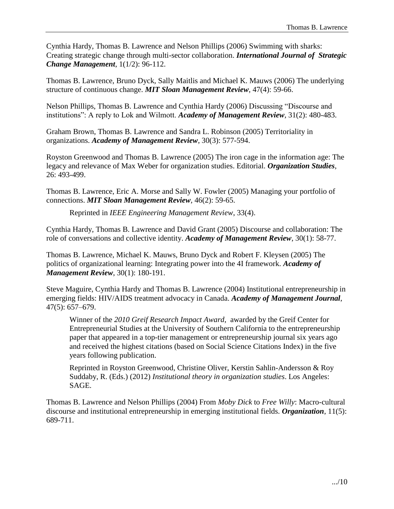Cynthia Hardy, Thomas B. Lawrence and Nelson Phillips (2006) Swimming with sharks: Creating strategic change through multi-sector collaboration. *International Journal of Strategic Change Management*, 1(1/2): 96-112.

Thomas B. Lawrence, Bruno Dyck, Sally Maitlis and Michael K. Mauws (2006) The underlying structure of continuous change. *MIT Sloan Management Review*, 47(4): 59-66.

Nelson Phillips, Thomas B. Lawrence and Cynthia Hardy (2006) Discussing "Discourse and institutions": A reply to Lok and Wilmott. *Academy of Management Review*, 31(2): 480-483.

Graham Brown, Thomas B. Lawrence and Sandra L. Robinson (2005) Territoriality in organizations. *Academy of Management Review*, 30(3): 577-594.

Royston Greenwood and Thomas B. Lawrence (2005) The iron cage in the information age: The legacy and relevance of Max Weber for organization studies. Editorial. *Organization Studies*, 26: 493-499.

Thomas B. Lawrence, Eric A. Morse and Sally W. Fowler (2005) Managing your portfolio of connections. *MIT Sloan Management Review*, 46(2): 59-65.

Reprinted in *IEEE Engineering Management Review*, 33(4).

Cynthia Hardy, Thomas B. Lawrence and David Grant (2005) Discourse and collaboration: The role of conversations and collective identity. *Academy of Management Review*, 30(1): 58-77.

Thomas B. Lawrence, Michael K. Mauws, Bruno Dyck and Robert F. Kleysen (2005) The politics of organizational learning: Integrating power into the 4I framework. *Academy of Management Review*, 30(1): 180-191.

Steve Maguire, Cynthia Hardy and Thomas B. Lawrence (2004) Institutional entrepreneurship in emerging fields: HIV/AIDS treatment advocacy in Canada. *Academy of Management Journal*, 47(5): 657–679.

Winner of the *2010 Greif Research Impact Award*, awarded by the Greif Center for Entrepreneurial Studies at the University of Southern California to the entrepreneurship paper that appeared in a top-tier management or entrepreneurship journal six years ago and received the highest citations (based on Social Science Citations Index) in the five years following publication.

Reprinted in Royston Greenwood, Christine Oliver, Kerstin Sahlin-Andersson & Roy Suddaby, R. (Eds.) (2012) *Institutional theory in organization studies*. Los Angeles: SAGE.

Thomas B. Lawrence and Nelson Phillips (2004) From *Moby Dick* to *Free Willy*: Macro-cultural discourse and institutional entrepreneurship in emerging institutional fields. *Organization*, 11(5): 689-711.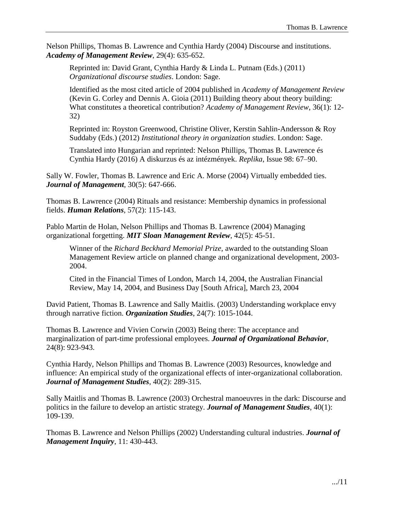Nelson Phillips, Thomas B. Lawrence and Cynthia Hardy (2004) Discourse and institutions. *Academy of Management Review*, 29(4): 635-652.

Reprinted in: David Grant, Cynthia Hardy & Linda L. Putnam (Eds.) (2011) *Organizational discourse studies*. London: Sage.

Identified as the most cited article of 2004 published in *Academy of Management Review* (Kevin G. Corley and Dennis A. Gioia (2011) Building theory about theory building: What constitutes a theoretical contribution? *Academy of Management Review*, 36(1): 12- 32)

Reprinted in: Royston Greenwood, Christine Oliver, Kerstin Sahlin-Andersson & Roy Suddaby (Eds.) (2012) *Institutional theory in organization studies*. London: Sage.

Translated into Hungarian and reprinted: Nelson Phillips, Thomas B. Lawrence és Cynthia Hardy (2016) A diskurzus és az intézmények. *Replika*, Issue 98: 67–90.

Sally W. Fowler, Thomas B. Lawrence and Eric A. Morse (2004) Virtually embedded ties. *Journal of Management*, 30(5): 647-666.

Thomas B. Lawrence (2004) Rituals and resistance: Membership dynamics in professional fields. *Human Relations*, 57(2): 115-143.

Pablo Martin de Holan, Nelson Phillips and Thomas B. Lawrence (2004) Managing organizational forgetting. *MIT Sloan Management Review*, 42(5): 45-51.

Winner of the *Richard Beckhard Memorial Prize*, awarded to the outstanding Sloan Management Review article on planned change and organizational development, 2003- 2004.

Cited in the Financial Times of London, March 14, 2004, the Australian Financial Review, May 14, 2004, and Business Day [South Africa], March 23, 2004

David Patient, Thomas B. Lawrence and Sally Maitlis. (2003) Understanding workplace envy through narrative fiction. *Organization Studies*, 24(7): 1015-1044.

Thomas B. Lawrence and Vivien Corwin (2003) Being there: The acceptance and marginalization of part-time professional employees. *Journal of Organizational Behavior*, 24(8): 923-943.

Cynthia Hardy, Nelson Phillips and Thomas B. Lawrence (2003) Resources, knowledge and influence: An empirical study of the organizational effects of inter-organizational collaboration. *Journal of Management Studies*, 40(2): 289-315.

Sally Maitlis and Thomas B. Lawrence (2003) Orchestral manoeuvres in the dark: Discourse and politics in the failure to develop an artistic strategy. *Journal of Management Studies*, 40(1): 109-139.

Thomas B. Lawrence and Nelson Phillips (2002) Understanding cultural industries. *Journal of Management Inquiry*, 11: 430-443.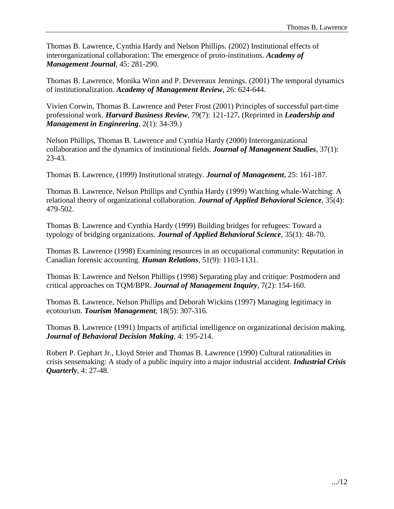Thomas B. Lawrence, Cynthia Hardy and Nelson Phillips. (2002) Institutional effects of interorganizational collaboration: The emergence of proto-institutions. *Academy of Management Journal*, 45: 281-290.

Thomas B. Lawrence, Monika Winn and P. Devereaux Jennings. (2001) The temporal dynamics of institutionalization. *Academy of Management Review*, 26: 624-644.

Vivien Corwin, Thomas B. Lawrence and Peter Frost (2001) Principles of successful part-time professional work. *Harvard Business Review*, 79(7): 121-127*.* (Reprinted in *Leadership and Management in Engineering*, 2(1): 34-39.)

Nelson Phillips, Thomas B. Lawrence and Cynthia Hardy (2000) Interorganizational collaboration and the dynamics of institutional fields. *Journal of Management Studies*, 37(1): 23-43.

Thomas B. Lawrence, (1999) Institutional strategy. *Journal of Management*, 25: 161-187.

Thomas B. Lawrence, Nelson Phillips and Cynthia Hardy (1999) Watching whale-Watching: A relational theory of organizational collaboration. *Journal of Applied Behavioral Science*, 35(4): 479-502.

Thomas B. Lawrence and Cynthia Hardy (1999) Building bridges for refugees: Toward a typology of bridging organizations. *Journal of Applied Behavioral Science*, 35(1): 48-70.

Thomas B. Lawrence (1998) Examining resources in an occupational community: Reputation in Canadian forensic accounting. *Human Relations*, 51(9): 1103-1131.

Thomas B. Lawrence and Nelson Phillips (1998) Separating play and critique: Postmodern and critical approaches on TQM/BPR. *Journal of Management Inquiry*, 7(2): 154-160.

Thomas B. Lawrence, Nelson Phillips and Deborah Wickins (1997) Managing legitimacy in ecotourism. *Tourism Management*, 18(5): 307-316.

Thomas B. Lawrence (1991) Impacts of artificial intelligence on organizational decision making. *Journal of Behavioral Decision Making*, 4: 195-214.

Robert P. Gephart Jr., Lloyd Steier and Thomas B. Lawrence (1990) Cultural rationalities in crisis sensemaking: A study of a public inquiry into a major industrial accident. *Industrial Crisis Quarterly*, 4: 27-48.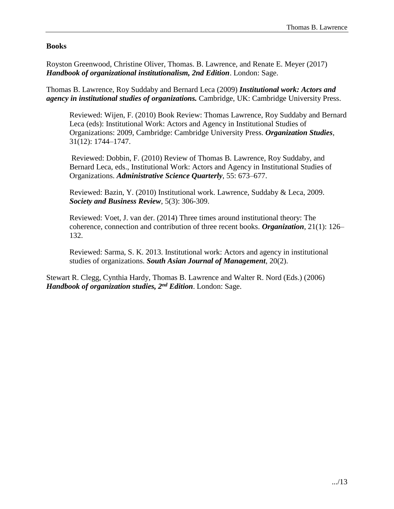# **Books**

Royston Greenwood, Christine Oliver, Thomas. B. Lawrence, and Renate E. Meyer (2017) *Handbook of organizational institutionalism, 2nd Edition*. London: Sage.

Thomas B. Lawrence, Roy Suddaby and Bernard Leca (2009) *Institutional work: Actors and agency in institutional studies of organizations.* Cambridge, UK: Cambridge University Press.

Reviewed: Wijen, F. (2010) Book Review: Thomas Lawrence, Roy Suddaby and Bernard Leca (eds): Institutional Work: Actors and Agency in Institutional Studies of Organizations: 2009, Cambridge: Cambridge University Press. *Organization Studies*, 31(12): 1744–1747.

Reviewed: Dobbin, F. (2010) Review of Thomas B. Lawrence, Roy Suddaby, and Bernard Leca, eds., Institutional Work: Actors and Agency in Institutional Studies of Organizations. *Administrative Science Quarterly*, 55: 673–677.

Reviewed: Bazin, Y. (2010) Institutional work. Lawrence, Suddaby & Leca, 2009. *Society and Business Review*, 5(3): 306-309.

Reviewed: Voet, J. van der. (2014) Three times around institutional theory: The coherence, connection and contribution of three recent books. *Organization*, 21(1): 126– 132.

Reviewed: Sarma, S. K. 2013. Institutional work: Actors and agency in institutional studies of organizations. *South Asian Journal of Management*, 20(2).

Stewart R. Clegg, Cynthia Hardy, Thomas B. Lawrence and Walter R. Nord (Eds.) (2006) *Handbook of organization studies, 2nd Edition*. London: Sage.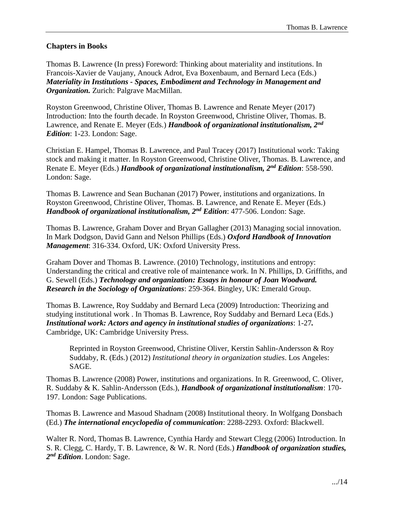# **Chapters in Books**

Thomas B. Lawrence (In press) Foreword: Thinking about materiality and institutions. In Francois-Xavier de Vaujany, Anouck Adrot, Eva Boxenbaum, and Bernard Leca (Eds.) *Materiality in Institutions - Spaces, Embodiment and Technology in Management and Organization.* Zurich: Palgrave MacMillan.

Royston Greenwood, Christine Oliver, Thomas B. Lawrence and Renate Meyer (2017) Introduction: Into the fourth decade. In Royston Greenwood, Christine Oliver, Thomas. B. Lawrence, and Renate E. Meyer (Eds.) *Handbook of organizational institutionalism, 2nd Edition*: 1-23. London: Sage.

Christian E. Hampel, Thomas B. Lawrence, and Paul Tracey (2017) Institutional work: Taking stock and making it matter. In Royston Greenwood, Christine Oliver, Thomas. B. Lawrence, and Renate E. Meyer (Eds.) *Handbook of organizational institutionalism, 2nd Edition*: 558-590. London: Sage.

Thomas B. Lawrence and Sean Buchanan (2017) Power, institutions and organizations. In Royston Greenwood, Christine Oliver, Thomas. B. Lawrence, and Renate E. Meyer (Eds.) *Handbook of organizational institutionalism, 2nd Edition*: 477-506. London: Sage.

Thomas B. Lawrence, Graham Dover and Bryan Gallagher (2013) Managing social innovation. In Mark Dodgson, David Gann and Nelson Phillips (Eds.) *Oxford Handbook of Innovation Management*: 316-334. Oxford, UK: Oxford University Press.

Graham Dover and Thomas B. Lawrence. (2010) Technology, institutions and entropy: Understanding the critical and creative role of maintenance work. In N. Phillips, D. Griffiths, and G. Sewell (Eds.) *Technology and organization: Essays in honour of Joan Woodward. Research in the Sociology of Organizations*: 259-364. Bingley, UK: Emerald Group.

Thomas B. Lawrence, Roy Suddaby and Bernard Leca (2009) Introduction: Theorizing and studying institutional work . In Thomas B. Lawrence, Roy Suddaby and Bernard Leca (Eds.) *Institutional work: Actors and agency in institutional studies of organizations*: 1-27*.* Cambridge, UK: Cambridge University Press.

Reprinted in Royston Greenwood, Christine Oliver, Kerstin Sahlin-Andersson & Roy Suddaby, R. (Eds.) (2012) *Institutional theory in organization studies*. Los Angeles: SAGE.

Thomas B. Lawrence (2008) Power, institutions and organizations. In R. Greenwood, C. Oliver, R. Suddaby & K. Sahlin-Andersson (Eds.), *Handbook of organizational institutionalism*: 170- 197. London: Sage Publications.

Thomas B. Lawrence and Masoud Shadnam (2008) Institutional theory. In Wolfgang Donsbach (Ed.) *The international encyclopedia of communication*: 2288-2293. Oxford: Blackwell.

Walter R. Nord, Thomas B. Lawrence, Cynthia Hardy and Stewart Clegg (2006) Introduction. In S. R. Clegg, C. Hardy, T. B. Lawrence, & W. R. Nord (Eds.) *Handbook of organization studies, 2 nd Edition*. London: Sage.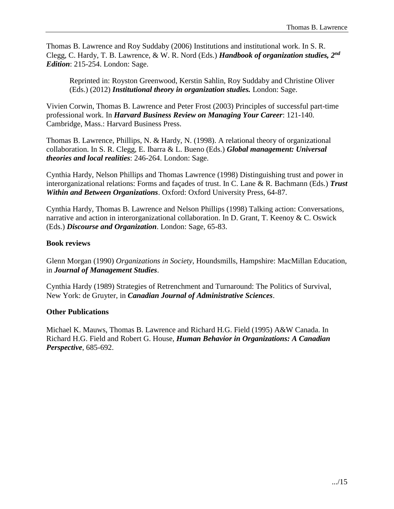Thomas B. Lawrence and Roy Suddaby (2006) Institutions and institutional work. In S. R. Clegg, C. Hardy, T. B. Lawrence, & W. R. Nord (Eds.) *Handbook of organization studies, 2nd Edition*: 215-254. London: Sage.

Reprinted in: Royston Greenwood, Kerstin Sahlin, Roy Suddaby and Christine Oliver (Eds.) (2012) *Institutional theory in organization studies.* London: Sage.

Vivien Corwin, Thomas B. Lawrence and Peter Frost (2003) Principles of successful part-time professional work. In *Harvard Business Review on Managing Your Career*: 121-140. Cambridge, Mass.: Harvard Business Press.

Thomas B. Lawrence, Phillips, N. & Hardy, N. (1998). A relational theory of organizational collaboration. In S. R. Clegg, E. Ibarra & L. Bueno (Eds.) *Global management: Universal theories and local realities*: 246-264. London: Sage.

Cynthia Hardy, Nelson Phillips and Thomas Lawrence (1998) Distinguishing trust and power in interorganizational relations: Forms and façades of trust. In C. Lane & R. Bachmann (Eds.) *Trust Within and Between Organizations*. Oxford: Oxford University Press, 64-87.

Cynthia Hardy, Thomas B. Lawrence and Nelson Phillips (1998) Talking action: Conversations, narrative and action in interorganizational collaboration. In D. Grant, T. Keenoy & C. Oswick (Eds.) *Discourse and Organization*. London: Sage, 65-83.

### **Book reviews**

Glenn Morgan (1990) *Organizations in Society,* Houndsmills, Hampshire: MacMillan Education, in *Journal of Management Studies*.

Cynthia Hardy (1989) Strategies of Retrenchment and Turnaround: The Politics of Survival, New York: de Gruyter, in *Canadian Journal of Administrative Sciences*.

#### **Other Publications**

Michael K. Mauws, Thomas B. Lawrence and Richard H.G. Field (1995) A&W Canada. In Richard H.G. Field and Robert G. House, *Human Behavior in Organizations: A Canadian Perspective*, 685-692.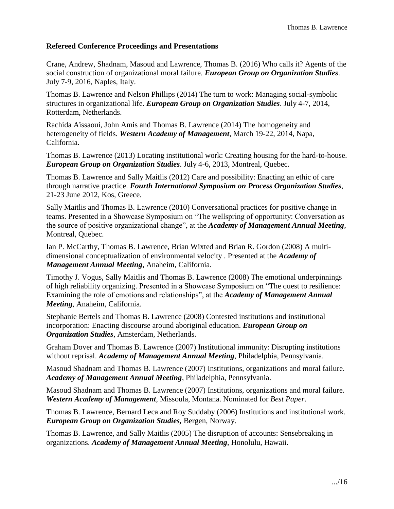### **Refereed Conference Proceedings and Presentations**

Crane, Andrew, Shadnam, Masoud and Lawrence, Thomas B. (2016) Who calls it? Agents of the social construction of organizational moral failure. *European Group on Organization Studies*. July 7-9, 2016, Naples, Italy.

Thomas B. Lawrence and Nelson Phillips (2014) The turn to work: Managing social-symbolic structures in organizational life. *European Group on Organization Studies*. July 4-7, 2014, Rotterdam, Netherlands.

Rachida Aïssaoui, John Amis and Thomas B. Lawrence (2014) The homogeneity and heterogeneity of fields. *Western Academy of Management*, March 19-22, 2014, Napa, California.

Thomas B. Lawrence (2013) Locating institutional work: Creating housing for the hard-to-house. *European Group on Organization Studies*. July 4-6, 2013, Montreal, Quebec.

Thomas B. Lawrence and Sally Maitlis (2012) Care and possibility: Enacting an ethic of care through narrative practice. *Fourth International Symposium on Process Organization Studies*, 21-23 June 2012, Kos, Greece.

Sally Maitlis and Thomas B. Lawrence (2010) Conversational practices for positive change in teams. Presented in a Showcase Symposium on "The wellspring of opportunity: Conversation as the source of positive organizational change", at the *Academy of Management Annual Meeting*, Montreal, Quebec.

Ian P. McCarthy, Thomas B. Lawrence, Brian Wixted and Brian R. Gordon (2008) A multidimensional conceptualization of environmental velocity . Presented at the *Academy of Management Annual Meeting*, Anaheim, California.

Timothy J. Vogus, Sally Maitlis and Thomas B. Lawrence (2008) The emotional underpinnings of high reliability organizing. Presented in a Showcase Symposium on "The quest to resilience: Examining the role of emotions and relationships", at the *Academy of Management Annual Meeting*, Anaheim, California.

Stephanie Bertels and Thomas B. Lawrence (2008) Contested institutions and institutional incorporation: Enacting discourse around aboriginal education. *European Group on Organization Studies*, Amsterdam, Netherlands.

Graham Dover and Thomas B. Lawrence (2007) Institutional immunity: Disrupting institutions without reprisal. *Academy of Management Annual Meeting*, Philadelphia, Pennsylvania.

Masoud Shadnam and Thomas B. Lawrence (2007) Institutions, organizations and moral failure. *Academy of Management Annual Meeting*, Philadelphia, Pennsylvania.

Masoud Shadnam and Thomas B. Lawrence (2007) Institutions, organizations and moral failure. *Western Academy of Management*, Missoula, Montana. Nominated for *Best Paper*.

Thomas B. Lawrence, Bernard Leca and Roy Suddaby (2006) Institutions and institutional work. *European Group on Organization Studies,* Bergen, Norway.

Thomas B. Lawrence, and Sally Maitlis (2005) The disruption of accounts: Sensebreaking in organizations. *Academy of Management Annual Meeting*, Honolulu, Hawaii.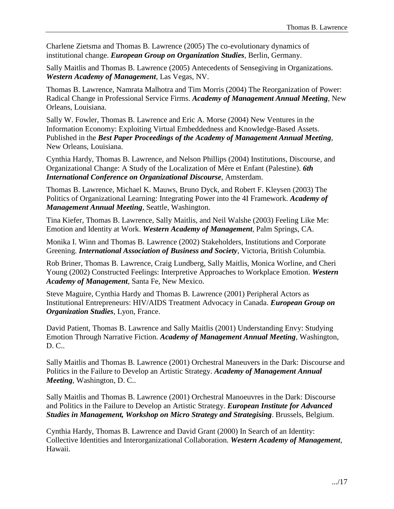Charlene Zietsma and Thomas B. Lawrence (2005) The co-evolutionary dynamics of institutional change. *European Group on Organization Studies*, Berlin, Germany.

Sally Maitlis and Thomas B. Lawrence (2005) Antecedents of Sensegiving in Organizations. *Western Academy of Management*, Las Vegas, NV.

Thomas B. Lawrence, Namrata Malhotra and Tim Morris (2004) The Reorganization of Power: Radical Change in Professional Service Firms. *Academy of Management Annual Meeting*, New Orleans, Louisiana.

Sally W. Fowler, Thomas B. Lawrence and Eric A. Morse (2004) New Ventures in the Information Economy: Exploiting Virtual Embeddedness and Knowledge-Based Assets. Published in the *Best Paper Proceedings of the Academy of Management Annual Meeting*, New Orleans, Louisiana.

Cynthia Hardy, Thomas B. Lawrence, and Nelson Phillips (2004) Institutions, Discourse, and Organizational Change: A Study of the Localization of Mère et Enfant (Palestine). *6th International Conference on Organizational Discourse*, Amsterdam.

Thomas B. Lawrence, Michael K. Mauws, Bruno Dyck, and Robert F. Kleysen (2003) The Politics of Organizational Learning: Integrating Power into the 4I Framework. *Academy of Management Annual Meeting*, Seattle, Washington.

Tina Kiefer, Thomas B. Lawrence, Sally Maitlis, and Neil Walshe (2003) Feeling Like Me: Emotion and Identity at Work. *Western Academy of Management*, Palm Springs, CA.

Monika I. Winn and Thomas B. Lawrence (2002) Stakeholders, Institutions and Corporate Greening. *International Association of Business and Society*, Victoria, British Columbia.

Rob Briner, Thomas B. Lawrence, Craig Lundberg, Sally Maitlis, Monica Worline, and Cheri Young (2002) Constructed Feelings: Interpretive Approaches to Workplace Emotion. *Western Academy of Management*, Santa Fe, New Mexico.

Steve Maguire, Cynthia Hardy and Thomas B. Lawrence (2001) Peripheral Actors as Institutional Entrepreneurs: HIV/AIDS Treatment Advocacy in Canada. *European Group on Organization Studies*, Lyon, France.

David Patient, Thomas B. Lawrence and Sally Maitlis (2001) Understanding Envy: Studying Emotion Through Narrative Fiction. *Academy of Management Annual Meeting*, Washington, D. C..

Sally Maitlis and Thomas B. Lawrence (2001) Orchestral Maneuvers in the Dark: Discourse and Politics in the Failure to Develop an Artistic Strategy. *Academy of Management Annual Meeting*, Washington, D. C..

Sally Maitlis and Thomas B. Lawrence (2001) Orchestral Manoeuvres in the Dark: Discourse and Politics in the Failure to Develop an Artistic Strategy. *European Institute for Advanced Studies in Management, Workshop on Micro Strategy and Strategising*. Brussels, Belgium.

Cynthia Hardy, Thomas B. Lawrence and David Grant (2000) In Search of an Identity: Collective Identities and Interorganizational Collaboration. *Western Academy of Management*, Hawaii.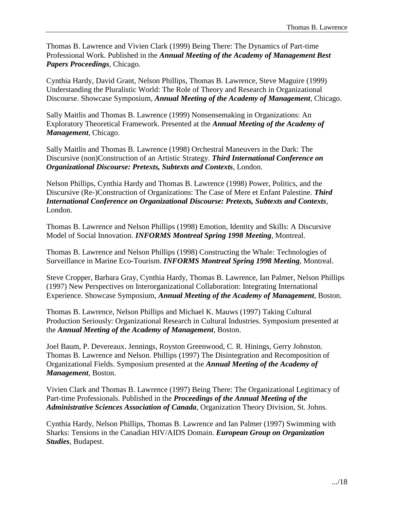Thomas B. Lawrence and Vivien Clark (1999) Being There: The Dynamics of Part-time Professional Work. Published in the *Annual Meeting of the Academy of Management Best Papers Proceedings*, Chicago.

Cynthia Hardy, David Grant, Nelson Phillips, Thomas B. Lawrence, Steve Maguire (1999) Understanding the Pluralistic World: The Role of Theory and Research in Organizational Discourse. Showcase Symposium, *Annual Meeting of the Academy of Management*, Chicago.

Sally Maitlis and Thomas B. Lawrence (1999) Nonsensemaking in Organizations: An Exploratory Theoretical Framework. Presented at the *Annual Meeting of the Academy of Management*, Chicago.

Sally Maitlis and Thomas B. Lawrence (1998) Orchestral Maneuvers in the Dark: The Discursive (non)Construction of an Artistic Strategy. *Third International Conference on Organizational Discourse: Pretexts, Subtexts and Contexts*, London.

Nelson Phillips, Cynthia Hardy and Thomas B. Lawrence (1998) Power, Politics, and the Discursive (Re-)Construction of Organizations: The Case of Mere et Enfant Palestine. *Third International Conference on Organizational Discourse: Pretexts, Subtexts and Contexts*, London.

Thomas B. Lawrence and Nelson Phillips (1998) Emotion, Identity and Skills: A Discursive Model of Social Innovation. *INFORMS Montreal Spring 1998 Meeting*, Montreal.

Thomas B. Lawrence and Nelson Phillips (1998) Constructing the Whale: Technologies of Surveillance in Marine Eco-Tourism. *INFORMS Montreal Spring 1998 Meeting*, Montreal.

Steve Cropper, Barbara Gray, Cynthia Hardy, Thomas B. Lawrence, Ian Palmer, Nelson Phillips (1997) New Perspectives on Interorganizational Collaboration: Integrating International Experience. Showcase Symposium, *Annual Meeting of the Academy of Management*, Boston.

Thomas B. Lawrence, Nelson Phillips and Michael K. Mauws (1997) Taking Cultural Production Seriously: Organizational Research in Cultural Industries. Symposium presented at the *Annual Meeting of the Academy of Management*, Boston.

Joel Baum, P. Devereaux. Jennings, Royston Greenwood, C. R. Hinings, Gerry Johnston. Thomas B. Lawrence and Nelson. Phillips (1997) The Disintegration and Recomposition of Organizational Fields. Symposium presented at the *Annual Meeting of the Academy of Management,* Boston.

Vivien Clark and Thomas B. Lawrence (1997) Being There: The Organizational Legitimacy of Part-time Professionals. Published in the *Proceedings of the Annual Meeting of the Administrative Sciences Association of Canada*, Organization Theory Division, St. Johns.

Cynthia Hardy, Nelson Phillips, Thomas B. Lawrence and Ian Palmer (1997) Swimming with Sharks: Tensions in the Canadian HIV/AIDS Domain. *European Group on Organization Studies*, Budapest.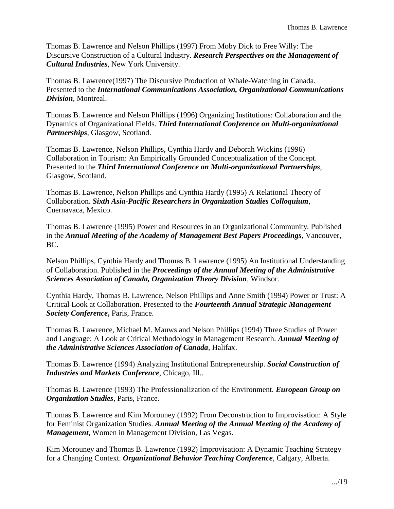Thomas B. Lawrence and Nelson Phillips (1997) From Moby Dick to Free Willy: The Discursive Construction of a Cultural Industry. *Research Perspectives on the Management of Cultural Industries*, New York University.

Thomas B. Lawrence(1997) The Discursive Production of Whale-Watching in Canada. Presented to the *International Communications Association, Organizational Communications Division*, Montreal.

Thomas B. Lawrence and Nelson Phillips (1996) Organizing Institutions: Collaboration and the Dynamics of Organizational Fields. *Third International Conference on Multi-organizational Partnerships*, Glasgow, Scotland.

Thomas B. Lawrence, Nelson Phillips, Cynthia Hardy and Deborah Wickins (1996) Collaboration in Tourism: An Empirically Grounded Conceptualization of the Concept. Presented to the *Third International Conference on Multi-organizational Partnerships*, Glasgow, Scotland.

Thomas B. Lawrence, Nelson Phillips and Cynthia Hardy (1995) A Relational Theory of Collaboration. *Sixth Asia-Pacific Researchers in Organization Studies Colloquium*, Cuernavaca, Mexico.

Thomas B. Lawrence (1995) Power and Resources in an Organizational Community. Published in the *Annual Meeting of the Academy of Management Best Papers Proceedings*, Vancouver, BC.

Nelson Phillips, Cynthia Hardy and Thomas B. Lawrence (1995) An Institutional Understanding of Collaboration. Published in the *Proceedings of the Annual Meeting of the Administrative Sciences Association of Canada, Organization Theory Division*, Windsor.

Cynthia Hardy, Thomas B. Lawrence, Nelson Phillips and Anne Smith (1994) Power or Trust: A Critical Look at Collaboration. Presented to the *Fourteenth Annual Strategic Management Society Conference***,** Paris, France.

Thomas B. Lawrence, Michael M. Mauws and Nelson Phillips (1994) Three Studies of Power and Language: A Look at Critical Methodology in Management Research. *Annual Meeting of the Administrative Sciences Association of Canada*, Halifax.

Thomas B. Lawrence (1994) Analyzing Institutional Entrepreneurship. *Social Construction of Industries and Markets Conference*, Chicago, Ill..

Thomas B. Lawrence (1993) The Professionalization of the Environment. *European Group on Organization Studies*, Paris, France.

Thomas B. Lawrence and Kim Morouney (1992) From Deconstruction to Improvisation: A Style for Feminist Organization Studies. *Annual Meeting of the Annual Meeting of the Academy of Management*, Women in Management Division, Las Vegas.

Kim Morouney and Thomas B. Lawrence (1992) Improvisation: A Dynamic Teaching Strategy for a Changing Context. *Organizational Behavior Teaching Conference*, Calgary, Alberta.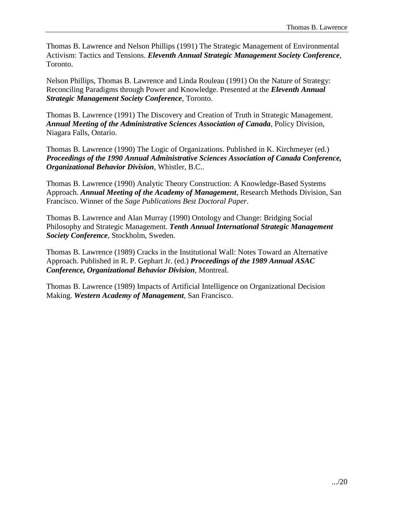Thomas B. Lawrence and Nelson Phillips (1991) The Strategic Management of Environmental Activism: Tactics and Tensions. *Eleventh Annual Strategic Management Society Conference*, Toronto.

Nelson Phillips, Thomas B. Lawrence and Linda Rouleau (1991) On the Nature of Strategy: Reconciling Paradigms through Power and Knowledge. Presented at the *Eleventh Annual Strategic Management Society Conference*, Toronto.

Thomas B. Lawrence (1991) The Discovery and Creation of Truth in Strategic Management. *Annual Meeting of the Administrative Sciences Association of Canada*, Policy Division, Niagara Falls, Ontario.

Thomas B. Lawrence (1990) The Logic of Organizations. Published in K. Kirchmeyer (ed.) *Proceedings of the 1990 Annual Administrative Sciences Association of Canada Conference, Organizational Behavior Division*, Whistler, B.C..

Thomas B. Lawrence (1990) Analytic Theory Construction: A Knowledge-Based Systems Approach. *Annual Meeting of the Academy of Management*, Research Methods Division, San Francisco. Winner of the *Sage Publications Best Doctoral Paper*.

Thomas B. Lawrence and Alan Murray (1990) Ontology and Change: Bridging Social Philosophy and Strategic Management. *Tenth Annual International Strategic Management Society Conference*, Stockholm, Sweden.

Thomas B. Lawrence (1989) Cracks in the Institutional Wall: Notes Toward an Alternative Approach. Published in R. P. Gephart Jr. (ed.) *Proceedings of the 1989 Annual ASAC Conference, Organizational Behavior Division*, Montreal.

Thomas B. Lawrence (1989) Impacts of Artificial Intelligence on Organizational Decision Making. *Western Academy of Management*, San Francisco.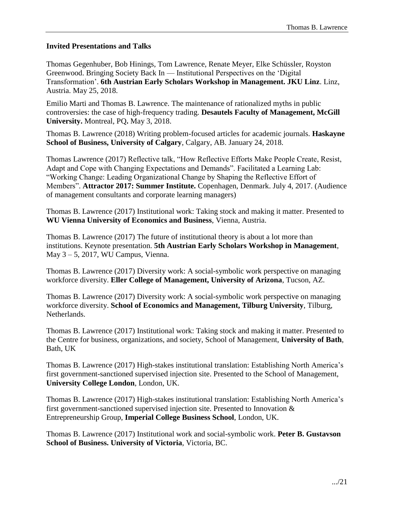### **Invited Presentations and Talks**

Thomas Gegenhuber, Bob Hinings, Tom Lawrence, Renate Meyer, Elke Schüssler, Royston Greenwood. Bringing Society Back In — Institutional Perspectives on the 'Digital Transformation'. **6th Austrian Early Scholars Workshop in Management. JKU Linz**. Linz, Austria. May 25, 2018.

Emilio Marti and Thomas B. Lawrence. The maintenance of rationalized myths in public controversies: the case of high-frequency trading. **Desautels Faculty of Management, McGill University.** Montreal, PQ**.** May 3, 2018.

Thomas B. Lawrence (2018) Writing problem-focused articles for academic journals. **Haskayne School of Business, University of Calgary**, Calgary, AB. January 24, 2018.

Thomas Lawrence (2017) Reflective talk, "How Reflective Efforts Make People Create, Resist, Adapt and Cope with Changing Expectations and Demands". Facilitated a Learning Lab: "Working Change: Leading Organizational Change by Shaping the Reflective Effort of Members". **Attractor 2017: Summer Institute.** Copenhagen, Denmark. July 4, 2017. (Audience of management consultants and corporate learning managers)

Thomas B. Lawrence (2017) Institutional work: Taking stock and making it matter. Presented to **WU Vienna University of Economics and Business**, Vienna, Austria.

Thomas B. Lawrence (2017) The future of institutional theory is about a lot more than institutions. Keynote presentation. **5th Austrian Early Scholars Workshop in Management**, May  $3 - 5$ , 2017, WU Campus, Vienna.

Thomas B. Lawrence (2017) Diversity work: A social-symbolic work perspective on managing workforce diversity. **Eller College of Management, University of Arizona**, Tucson, AZ.

Thomas B. Lawrence (2017) Diversity work: A social-symbolic work perspective on managing workforce diversity. **School of Economics and Management, Tilburg University**, Tilburg, Netherlands.

Thomas B. Lawrence (2017) Institutional work: Taking stock and making it matter. Presented to the Centre for business, organizations, and society, School of Management, **University of Bath**, Bath, UK

Thomas B. Lawrence (2017) High-stakes institutional translation: Establishing North America's first government-sanctioned supervised injection site. Presented to the School of Management, **University College London**, London, UK.

Thomas B. Lawrence (2017) High-stakes institutional translation: Establishing North America's first government-sanctioned supervised injection site. Presented to Innovation & Entrepreneurship Group, **Imperial College Business School**, London, UK.

Thomas B. Lawrence (2017) Institutional work and social-symbolic work. **Peter B. Gustavson School of Business. University of Victoria**, Victoria, BC.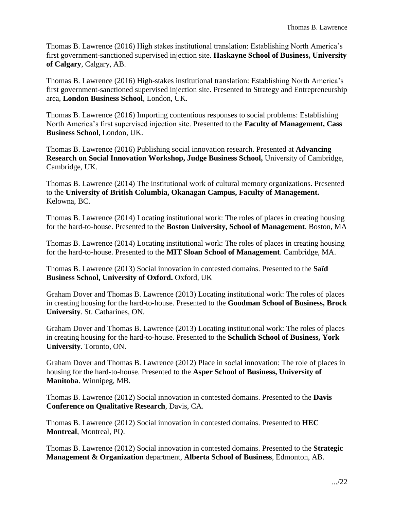Thomas B. Lawrence (2016) High stakes institutional translation: Establishing North America's first government-sanctioned supervised injection site. **Haskayne School of Business, University of Calgary**, Calgary, AB.

Thomas B. Lawrence (2016) High-stakes institutional translation: Establishing North America's first government-sanctioned supervised injection site. Presented to Strategy and Entrepreneurship area, **London Business School**, London, UK.

Thomas B. Lawrence (2016) Importing contentious responses to social problems: Establishing North America's first supervised injection site. Presented to the **Faculty of Management, Cass Business School**, London, UK.

Thomas B. Lawrence (2016) Publishing social innovation research. Presented at **Advancing Research on Social Innovation Workshop, Judge Business School,** University of Cambridge, Cambridge, UK.

Thomas B. Lawrence (2014) The institutional work of cultural memory organizations. Presented to the **University of British Columbia, Okanagan Campus, Faculty of Management.** Kelowna, BC.

Thomas B. Lawrence (2014) Locating institutional work: The roles of places in creating housing for the hard-to-house. Presented to the **Boston University, School of Management**. Boston, MA

Thomas B. Lawrence (2014) Locating institutional work: The roles of places in creating housing for the hard-to-house. Presented to the **MIT Sloan School of Management**. Cambridge, MA.

Thomas B. Lawrence (2013) Social innovation in contested domains. Presented to the **Saïd Business School, University of Oxford.** Oxford, UK

Graham Dover and Thomas B. Lawrence (2013) Locating institutional work: The roles of places in creating housing for the hard-to-house. Presented to the **Goodman School of Business, Brock University**. St. Catharines, ON.

Graham Dover and Thomas B. Lawrence (2013) Locating institutional work: The roles of places in creating housing for the hard-to-house. Presented to the **Schulich School of Business, York University**. Toronto, ON.

Graham Dover and Thomas B. Lawrence (2012) Place in social innovation: The role of places in housing for the hard-to-house. Presented to the **Asper School of Business, University of Manitoba**. Winnipeg, MB.

Thomas B. Lawrence (2012) Social innovation in contested domains. Presented to the **Davis Conference on Qualitative Research**, Davis, CA.

Thomas B. Lawrence (2012) Social innovation in contested domains. Presented to **HEC Montreal**, Montreal, PQ.

Thomas B. Lawrence (2012) Social innovation in contested domains. Presented to the **Strategic Management & Organization** department, **Alberta School of Business**, Edmonton, AB.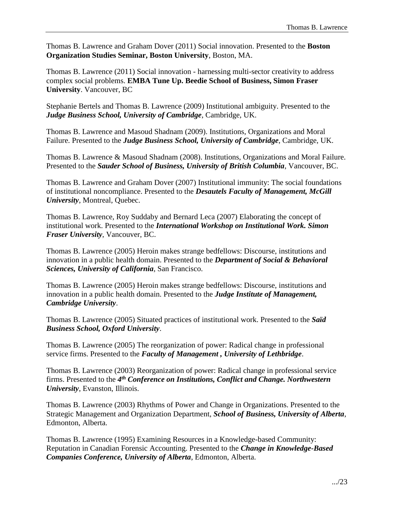Thomas B. Lawrence and Graham Dover (2011) Social innovation. Presented to the **Boston Organization Studies Seminar, Boston University**, Boston, MA.

Thomas B. Lawrence (2011) Social innovation - harnessing multi-sector creativity to address complex social problems. **EMBA Tune Up. Beedie School of Business, Simon Fraser University**. Vancouver, BC

Stephanie Bertels and Thomas B. Lawrence (2009) Institutional ambiguity. Presented to the *Judge Business School, University of Cambridge*, Cambridge, UK.

Thomas B. Lawrence and Masoud Shadnam (2009). Institutions, Organizations and Moral Failure. Presented to the *Judge Business School, University of Cambridge*, Cambridge, UK.

Thomas B. Lawrence & Masoud Shadnam (2008). Institutions, Organizations and Moral Failure. Presented to the *Sauder School of Business, University of British Columbia*, Vancouver, BC.

Thomas B. Lawrence and Graham Dover (2007) Institutional immunity: The social foundations of institutional noncompliance. Presented to the *Desautels Faculty of Management, McGill University*, Montreal, Quebec.

Thomas B. Lawrence, Roy Suddaby and Bernard Leca (2007) Elaborating the concept of institutional work. Presented to the *International Workshop on Institutional Work. Simon Fraser University*, Vancouver, BC.

Thomas B. Lawrence (2005) Heroin makes strange bedfellows: Discourse, institutions and innovation in a public health domain. Presented to the *Department of Social & Behavioral Sciences, University of California*, San Francisco.

Thomas B. Lawrence (2005) Heroin makes strange bedfellows: Discourse, institutions and innovation in a public health domain. Presented to the *Judge Institute of Management, Cambridge University*.

Thomas B. Lawrence (2005) Situated practices of institutional work. Presented to the *Saïd Business School, Oxford University*.

Thomas B. Lawrence (2005) The reorganization of power: Radical change in professional service firms. Presented to the *Faculty of Management , University of Lethbridge*.

Thomas B. Lawrence (2003) Reorganization of power: Radical change in professional service firms. Presented to the 4<sup>th</sup> Conference on Institutions, Conflict and Change. Northwestern *University*, Evanston, Illinois.

Thomas B. Lawrence (2003) Rhythms of Power and Change in Organizations. Presented to the Strategic Management and Organization Department, *School of Business, University of Alberta*, Edmonton, Alberta.

Thomas B. Lawrence (1995) Examining Resources in a Knowledge-based Community: Reputation in Canadian Forensic Accounting. Presented to the *Change in Knowledge-Based Companies Conference, University of Alberta*, Edmonton, Alberta.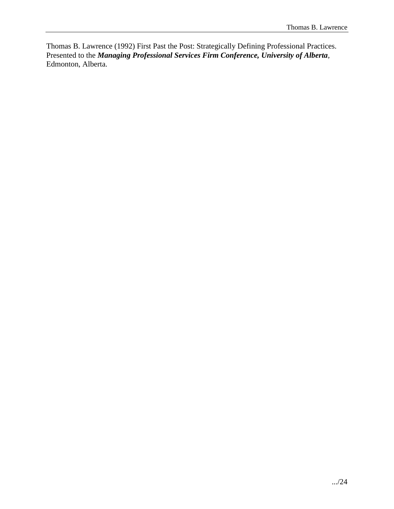Thomas B. Lawrence (1992) First Past the Post: Strategically Defining Professional Practices. Presented to the *Managing Professional Services Firm Conference, University of Alberta*, Edmonton, Alberta.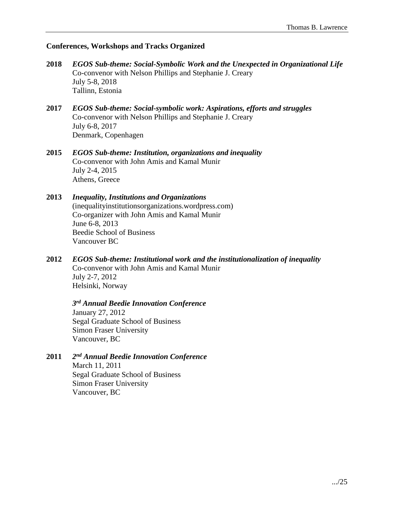#### **Conferences, Workshops and Tracks Organized**

- **2018** *EGOS Sub-theme: Social-Symbolic Work and the Unexpected in Organizational Life* Co-convenor with Nelson Phillips and Stephanie J. Creary July 5-8, 2018 Tallinn, Estonia
- **2017** *EGOS Sub-theme: Social-symbolic work: Aspirations, efforts and struggles* Co-convenor with Nelson Phillips and Stephanie J. Creary July 6-8, 2017 Denmark, Copenhagen
- **2015** *EGOS Sub-theme: Institution, organizations and inequality* Co-convenor with John Amis and Kamal Munir July 2-4, 2015 Athens, Greece
- **2013** *Inequality, Institutions and Organizations* (inequalityinstitutionsorganizations.wordpress.com) Co-organizer with John Amis and Kamal Munir June 6-8, 2013 Beedie School of Business Vancouver BC
- **2012** *EGOS Sub-theme: Institutional work and the institutionalization of inequality* Co-convenor with John Amis and Kamal Munir July 2-7, 2012 Helsinki, Norway

*3 rd Annual Beedie Innovation Conference* January 27, 2012 Segal Graduate School of Business Simon Fraser University Vancouver, BC

**2011** *2 nd Annual Beedie Innovation Conference* March 11, 2011 Segal Graduate School of Business Simon Fraser University Vancouver, BC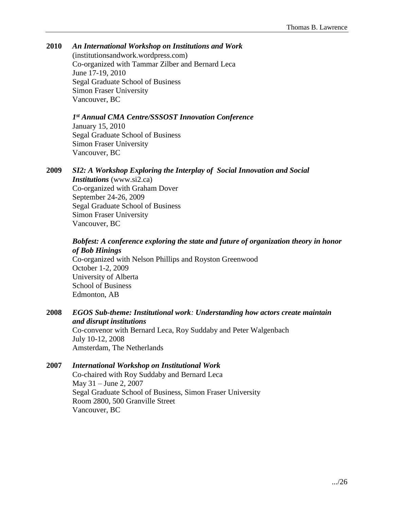# **2010** *An International Workshop on Institutions and Work*

(institutionsandwork.wordpress.com) Co-organized with Tammar Zilber and Bernard Leca June 17-19, 2010 Segal Graduate School of Business Simon Fraser University Vancouver, BC

*1 st Annual CMA Centre/SSSOST Innovation Conference* January 15, 2010 Segal Graduate School of Business Simon Fraser University Vancouver, BC

**2009** *SI2: A Workshop Exploring the Interplay of Social Innovation and Social Institutions* (www.si2.ca) Co-organized with Graham Dover September 24-26, 2009 Segal Graduate School of Business Simon Fraser University Vancouver, BC

# *Bobfest: A conference exploring the state and future of organization theory in honor of Bob Hinings*

Co-organized with Nelson Phillips and Royston Greenwood October 1-2, 2009 University of Alberta School of Business Edmonton, AB

### **2008** *EGOS Sub-theme: Institutional work: Understanding how actors create maintain and disrupt institutions* Co-convenor with Bernard Leca, Roy Suddaby and Peter Walgenbach July 10-12, 2008 Amsterdam, The Netherlands

### **2007** *International Workshop on Institutional Work* Co-chaired with Roy Suddaby and Bernard Leca May 31 – June 2, 2007 Segal Graduate School of Business, Simon Fraser University Room 2800, 500 Granville Street Vancouver, BC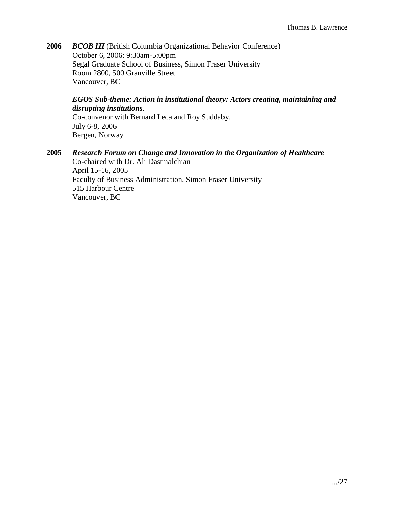**2006** *BCOB III* (British Columbia Organizational Behavior Conference) October 6, 2006: 9:30am-5:00pm Segal Graduate School of Business, Simon Fraser University Room 2800, 500 Granville Street Vancouver, BC

# *EGOS Sub-theme: Action in institutional theory: Actors creating, maintaining and disrupting institutions*.

Co-convenor with Bernard Leca and Roy Suddaby. July 6-8, 2006 Bergen, Norway

**2005** *Research Forum on Change and Innovation in the Organization of Healthcare* Co-chaired with Dr. Ali Dastmalchian April 15-16, 2005 Faculty of Business Administration, Simon Fraser University 515 Harbour Centre Vancouver, BC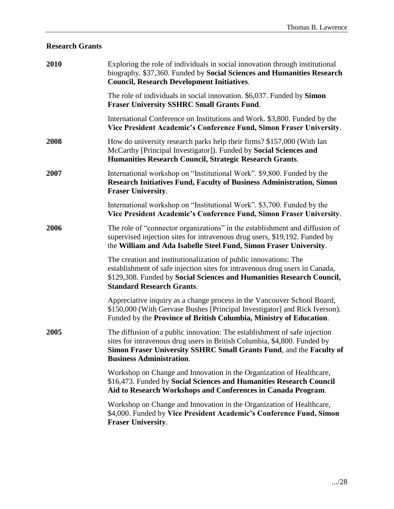# **Research Grants**

| 2010 | Exploring the role of individuals in social innovation through institutional<br>biography. \$37,360. Funded by Social Sciences and Humanities Research<br><b>Council, Research Development Initiatives.</b>                                                     |  |
|------|-----------------------------------------------------------------------------------------------------------------------------------------------------------------------------------------------------------------------------------------------------------------|--|
|      | The role of individuals in social innovation. \$6,037. Funded by Simon<br><b>Fraser University SSHRC Small Grants Fund.</b>                                                                                                                                     |  |
|      | International Conference on Institutions and Work. \$3,800. Funded by the<br>Vice President Academic's Conference Fund, Simon Fraser University.                                                                                                                |  |
| 2008 | How do university research parks help their firms? \$157,000 (With Ian<br>McCarthy [Principal Investigator]). Funded by Social Sciences and<br>Humanities Research Council, Strategic Research Grants.                                                          |  |
| 2007 | International workshop on "Institutional Work". \$9,800. Funded by the<br><b>Research Initiatives Fund, Faculty of Business Administration, Simon</b><br><b>Fraser University.</b>                                                                              |  |
|      | International workshop on "Institutional Work". \$3,700. Funded by the<br>Vice President Academic's Conference Fund, Simon Fraser University.                                                                                                                   |  |
| 2006 | The role of "connector organizations" in the establishment and diffusion of<br>supervised injection sites for intravenous drug users, \$19,192. Funded by<br>the William and Ada Isabelle Steel Fund, Simon Fraser University.                                  |  |
|      | The creation and institutionalization of public innovations: The<br>establishment of safe injection sites for intravenous drug users in Canada,<br>\$129,308. Funded by Social Sciences and Humanities Research Council,<br><b>Standard Research Grants.</b>    |  |
|      | Appreciative inquiry as a change process in the Vancouver School Board,<br>\$150,000 (With Gervase Bushes [Principal Investigator] and Rick Iverson).<br>Funded by the Province of British Columbia, Ministry of Education.                                     |  |
| 2005 | The diffusion of a public innovation: The establishment of safe injection<br>sites for intravenous drug users in British Columbia, \$4,800. Funded by<br>Simon Fraser University SSHRC Small Grants Fund, and the Faculty of<br><b>Business Administration.</b> |  |
|      | Workshop on Change and Innovation in the Organization of Healthcare,<br>\$16,473. Funded by Social Sciences and Humanities Research Council<br>Aid to Research Workshops and Conferences in Canada Program.                                                     |  |
|      | Workshop on Change and Innovation in the Organization of Healthcare,<br>\$4,000. Funded by Vice President Academic's Conference Fund, Simon<br><b>Fraser University.</b>                                                                                        |  |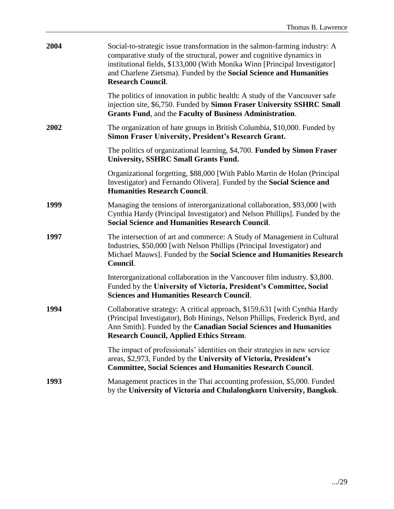| 2004 | Social-to-strategic issue transformation in the salmon-farming industry: A<br>comparative study of the structural, power and cognitive dynamics in<br>institutional fields, \$133,000 (With Monika Winn [Principal Investigator]<br>and Charlene Zietsma). Funded by the Social Science and Humanities<br><b>Research Council.</b> |
|------|------------------------------------------------------------------------------------------------------------------------------------------------------------------------------------------------------------------------------------------------------------------------------------------------------------------------------------|
|      | The politics of innovation in public health: A study of the Vancouver safe<br>injection site, \$6,750. Funded by Simon Fraser University SSHRC Small<br>Grants Fund, and the Faculty of Business Administration.                                                                                                                   |
| 2002 | The organization of hate groups in British Columbia, \$10,000. Funded by<br><b>Simon Fraser University, President's Research Grant.</b>                                                                                                                                                                                            |
|      | The politics of organizational learning, \$4,700. Funded by Simon Fraser<br><b>University, SSHRC Small Grants Fund.</b>                                                                                                                                                                                                            |
|      | Organizational forgetting, \$88,000 [With Pablo Martin de Holan (Principal<br>Investigator) and Fernando Olivera]. Funded by the Social Science and<br><b>Humanities Research Council.</b>                                                                                                                                         |
| 1999 | Managing the tensions of interorganizational collaboration, \$93,000 [with<br>Cynthia Hardy (Principal Investigator) and Nelson Phillips]. Funded by the<br><b>Social Science and Humanities Research Council.</b>                                                                                                                 |
| 1997 | The intersection of art and commerce: A Study of Management in Cultural<br>Industries, \$50,000 [with Nelson Phillips (Principal Investigator) and<br>Michael Mauws]. Funded by the Social Science and Humanities Research<br>Council.                                                                                             |
|      | Interorganizational collaboration in the Vancouver film industry. \$3,800.<br>Funded by the University of Victoria, President's Committee, Social<br><b>Sciences and Humanities Research Council.</b>                                                                                                                              |
| 1994 | Collaborative strategy: A critical approach, \$159,631 [with Cynthia Hardy<br>(Principal Investigator), Bob Hinings, Nelson Phillips, Frederick Byrd, and<br>Ann Smith]. Funded by the Canadian Social Sciences and Humanities<br><b>Research Council, Applied Ethics Stream.</b>                                                  |
|      | The impact of professionals' identities on their strategies in new service<br>areas, \$2,973, Funded by the University of Victoria, President's<br><b>Committee, Social Sciences and Humanities Research Council.</b>                                                                                                              |
| 1993 | Management practices in the Thai accounting profession, \$5,000. Funded<br>by the University of Victoria and Chulalongkorn University, Bangkok.                                                                                                                                                                                    |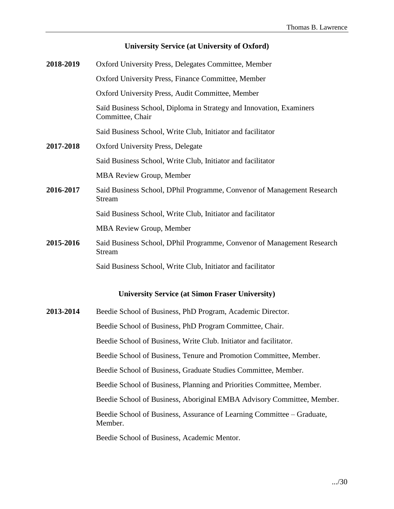### **University Service (at University of Oxford)**

| 2018-2019 | Oxford University Press, Delegates Committee, Member                                    |  |
|-----------|-----------------------------------------------------------------------------------------|--|
|           | Oxford University Press, Finance Committee, Member                                      |  |
|           | Oxford University Press, Audit Committee, Member                                        |  |
|           | Saïd Business School, Diploma in Strategy and Innovation, Examiners<br>Committee, Chair |  |
|           | Said Business School, Write Club, Initiator and facilitator                             |  |
| 2017-2018 | Oxford University Press, Delegate                                                       |  |
|           | Said Business School, Write Club, Initiator and facilitator                             |  |
|           | <b>MBA Review Group, Member</b>                                                         |  |
| 2016-2017 | Said Business School, DPhil Programme, Convenor of Management Research<br><b>Stream</b> |  |
|           | Said Business School, Write Club, Initiator and facilitator                             |  |
|           | <b>MBA Review Group, Member</b>                                                         |  |
| 2015-2016 | Said Business School, DPhil Programme, Convenor of Management Research<br><b>Stream</b> |  |
|           | Said Business School, Write Club, Initiator and facilitator                             |  |
|           | <b>University Service (at Simon Fraser University)</b>                                  |  |
| 2013-2014 | Beedie School of Business, PhD Program, Academic Director.                              |  |
|           | Beedie School of Business, PhD Program Committee, Chair.                                |  |
|           | Beedie School of Business, Write Club. Initiator and facilitator.                       |  |
|           | Beedie School of Business, Tenure and Promotion Committee, Member.                      |  |

Beedie School of Business, Graduate Studies Committee, Member.

Beedie School of Business, Planning and Priorities Committee, Member.

Beedie School of Business, Aboriginal EMBA Advisory Committee, Member.

Beedie School of Business, Assurance of Learning Committee – Graduate, Member.

Beedie School of Business, Academic Mentor.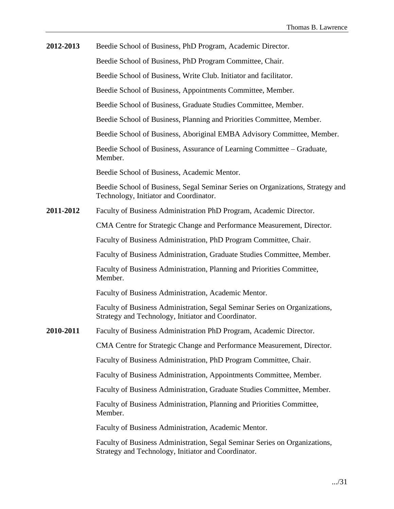| 2012-2013 | Beedie School of Business, PhD Program, Academic Director.                                                                        |
|-----------|-----------------------------------------------------------------------------------------------------------------------------------|
|           | Beedie School of Business, PhD Program Committee, Chair.                                                                          |
|           | Beedie School of Business, Write Club. Initiator and facilitator.                                                                 |
|           | Beedie School of Business, Appointments Committee, Member.                                                                        |
|           | Beedie School of Business, Graduate Studies Committee, Member.                                                                    |
|           | Beedie School of Business, Planning and Priorities Committee, Member.                                                             |
|           | Beedie School of Business, Aboriginal EMBA Advisory Committee, Member.                                                            |
|           | Beedie School of Business, Assurance of Learning Committee – Graduate,<br>Member.                                                 |
|           | Beedie School of Business, Academic Mentor.                                                                                       |
|           | Beedie School of Business, Segal Seminar Series on Organizations, Strategy and<br>Technology, Initiator and Coordinator.          |
| 2011-2012 | Faculty of Business Administration PhD Program, Academic Director.                                                                |
|           | CMA Centre for Strategic Change and Performance Measurement, Director.                                                            |
|           | Faculty of Business Administration, PhD Program Committee, Chair.                                                                 |
|           | Faculty of Business Administration, Graduate Studies Committee, Member.                                                           |
|           | Faculty of Business Administration, Planning and Priorities Committee,<br>Member.                                                 |
|           | Faculty of Business Administration, Academic Mentor.                                                                              |
|           | Faculty of Business Administration, Segal Seminar Series on Organizations,<br>Strategy and Technology, Initiator and Coordinator. |
| 2010-2011 | Faculty of Business Administration PhD Program, Academic Director.                                                                |
|           | CMA Centre for Strategic Change and Performance Measurement, Director.                                                            |
|           | Faculty of Business Administration, PhD Program Committee, Chair.                                                                 |
|           | Faculty of Business Administration, Appointments Committee, Member.                                                               |
|           | Faculty of Business Administration, Graduate Studies Committee, Member.                                                           |
|           | Faculty of Business Administration, Planning and Priorities Committee,<br>Member.                                                 |
|           | Faculty of Business Administration, Academic Mentor.                                                                              |
|           | Faculty of Business Administration, Segal Seminar Series on Organizations,<br>Strategy and Technology, Initiator and Coordinator. |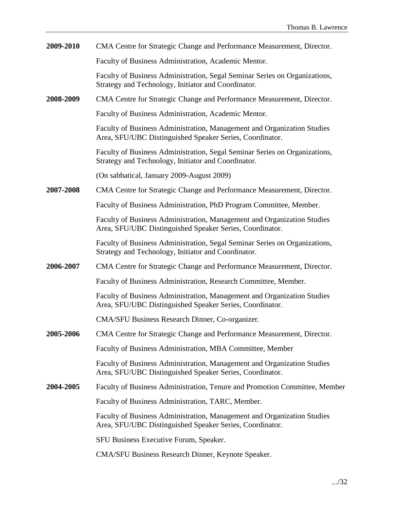| 2009-2010 | CMA Centre for Strategic Change and Performance Measurement, Director.                                                              |
|-----------|-------------------------------------------------------------------------------------------------------------------------------------|
|           | Faculty of Business Administration, Academic Mentor.                                                                                |
|           | Faculty of Business Administration, Segal Seminar Series on Organizations,<br>Strategy and Technology, Initiator and Coordinator.   |
| 2008-2009 | CMA Centre for Strategic Change and Performance Measurement, Director.                                                              |
|           | Faculty of Business Administration, Academic Mentor.                                                                                |
|           | Faculty of Business Administration, Management and Organization Studies<br>Area, SFU/UBC Distinguished Speaker Series, Coordinator. |
|           | Faculty of Business Administration, Segal Seminar Series on Organizations,<br>Strategy and Technology, Initiator and Coordinator.   |
|           | (On sabbatical, January 2009-August 2009)                                                                                           |
| 2007-2008 | CMA Centre for Strategic Change and Performance Measurement, Director.                                                              |
|           | Faculty of Business Administration, PhD Program Committee, Member.                                                                  |
|           | Faculty of Business Administration, Management and Organization Studies<br>Area, SFU/UBC Distinguished Speaker Series, Coordinator. |
|           | Faculty of Business Administration, Segal Seminar Series on Organizations,<br>Strategy and Technology, Initiator and Coordinator.   |
| 2006-2007 | CMA Centre for Strategic Change and Performance Measurement, Director.                                                              |
|           | Faculty of Business Administration, Research Committee, Member.                                                                     |
|           | Faculty of Business Administration, Management and Organization Studies<br>Area, SFU/UBC Distinguished Speaker Series, Coordinator. |
|           | CMA/SFU Business Research Dinner, Co-organizer.                                                                                     |
| 2005-2006 | CMA Centre for Strategic Change and Performance Measurement, Director.                                                              |
|           | Faculty of Business Administration, MBA Committee, Member                                                                           |
|           | Faculty of Business Administration, Management and Organization Studies<br>Area, SFU/UBC Distinguished Speaker Series, Coordinator. |
| 2004-2005 | Faculty of Business Administration, Tenure and Promotion Committee, Member                                                          |
|           | Faculty of Business Administration, TARC, Member.                                                                                   |
|           | Faculty of Business Administration, Management and Organization Studies<br>Area, SFU/UBC Distinguished Speaker Series, Coordinator. |
|           | SFU Business Executive Forum, Speaker.                                                                                              |
|           | CMA/SFU Business Research Dinner, Keynote Speaker.                                                                                  |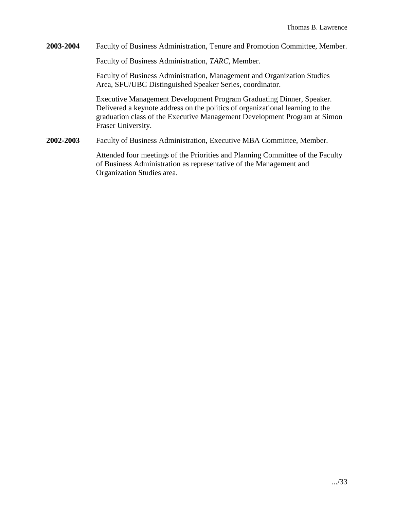**2003-2004** Faculty of Business Administration, Tenure and Promotion Committee, Member.

Faculty of Business Administration, *TARC*, Member.

Faculty of Business Administration, Management and Organization Studies Area, SFU/UBC Distinguished Speaker Series, coordinator.

Executive Management Development Program Graduating Dinner, Speaker. Delivered a keynote address on the politics of organizational learning to the graduation class of the Executive Management Development Program at Simon Fraser University.

**2002-2003** Faculty of Business Administration, Executive MBA Committee, Member.

Attended four meetings of the Priorities and Planning Committee of the Faculty of Business Administration as representative of the Management and Organization Studies area.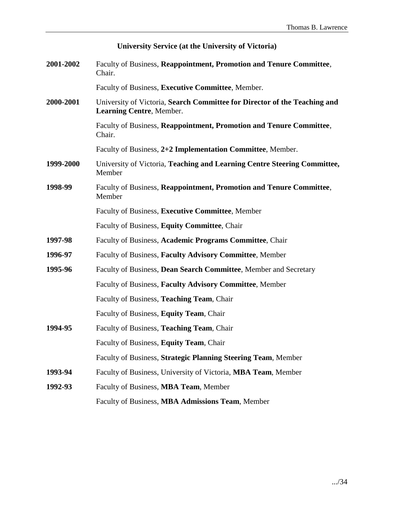| University Service (at the University of Victoria) |                                                                                                       |  |
|----------------------------------------------------|-------------------------------------------------------------------------------------------------------|--|
| 2001-2002                                          | Faculty of Business, Reappointment, Promotion and Tenure Committee,<br>Chair.                         |  |
|                                                    | Faculty of Business, Executive Committee, Member.                                                     |  |
| 2000-2001                                          | University of Victoria, Search Committee for Director of the Teaching and<br>Learning Centre, Member. |  |
|                                                    | Faculty of Business, Reappointment, Promotion and Tenure Committee,<br>Chair.                         |  |
|                                                    | Faculty of Business, 2+2 Implementation Committee, Member.                                            |  |
| 1999-2000                                          | University of Victoria, Teaching and Learning Centre Steering Committee,<br>Member                    |  |
| 1998-99                                            | Faculty of Business, Reappointment, Promotion and Tenure Committee,<br>Member                         |  |
|                                                    | Faculty of Business, Executive Committee, Member                                                      |  |
|                                                    | Faculty of Business, Equity Committee, Chair                                                          |  |
| 1997-98                                            | Faculty of Business, Academic Programs Committee, Chair                                               |  |
| 1996-97                                            | Faculty of Business, Faculty Advisory Committee, Member                                               |  |
| 1995-96                                            | Faculty of Business, Dean Search Committee, Member and Secretary                                      |  |
|                                                    | Faculty of Business, Faculty Advisory Committee, Member                                               |  |
|                                                    | Faculty of Business, Teaching Team, Chair                                                             |  |
|                                                    | Faculty of Business, Equity Team, Chair                                                               |  |
| 1994-95                                            | Faculty of Business, Teaching Team, Chair                                                             |  |
|                                                    | Faculty of Business, Equity Team, Chair                                                               |  |
|                                                    | Faculty of Business, Strategic Planning Steering Team, Member                                         |  |
| 1993-94                                            | Faculty of Business, University of Victoria, MBA Team, Member                                         |  |
| 1992-93                                            | Faculty of Business, MBA Team, Member                                                                 |  |
|                                                    | Faculty of Business, MBA Admissions Team, Member                                                      |  |